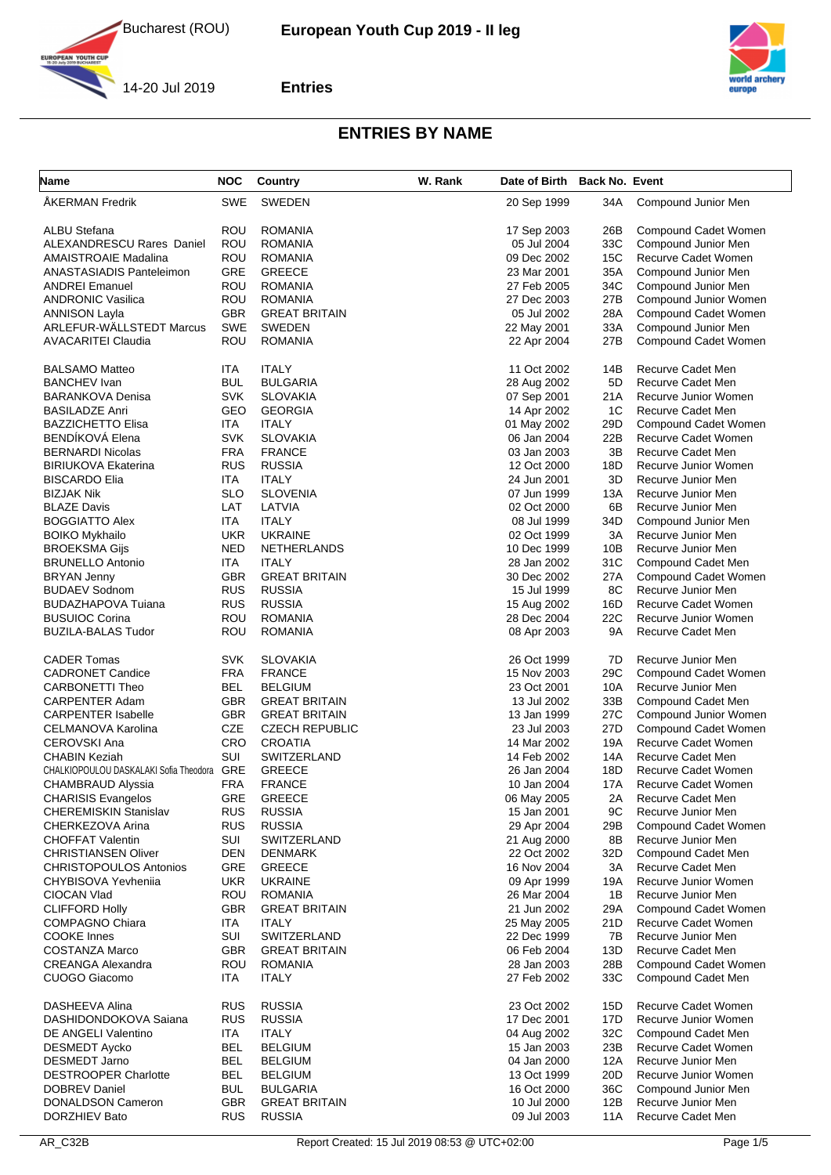



14-20 Jul 2019

**YOUTH CUP** 

**Entries**

| <b>Name</b>                                | <b>NOC</b> | Country               | W. Rank | Date of Birth | <b>Back No. Event</b> |                       |
|--------------------------------------------|------------|-----------------------|---------|---------------|-----------------------|-----------------------|
| ÅKERMAN Fredrik                            | SWE        | <b>SWEDEN</b>         |         | 20 Sep 1999   | 34A                   | Compound Junior Men   |
| ALBU Stefana                               | ROU        | <b>ROMANIA</b>        |         | 17 Sep 2003   | 26B                   | Compound Cadet Women  |
| <b>ALEXANDRESCU Rares Daniel</b>           | ROU        | <b>ROMANIA</b>        |         | 05 Jul 2004   | 33C                   | Compound Junior Men   |
| <b>AMAISTROAIE Madalina</b>                | ROU        | <b>ROMANIA</b>        |         | 09 Dec 2002   | 15C                   | Recurve Cadet Women   |
| ANASTASIADIS Panteleimon                   | <b>GRE</b> | <b>GREECE</b>         |         | 23 Mar 2001   | 35A                   | Compound Junior Men   |
| <b>ANDREI Emanuel</b>                      | ROU        | <b>ROMANIA</b>        |         | 27 Feb 2005   | 34C                   | Compound Junior Men   |
| <b>ANDRONIC Vasilica</b>                   | ROU        | <b>ROMANIA</b>        |         | 27 Dec 2003   | 27B                   | Compound Junior Women |
| <b>ANNISON Layla</b>                       | <b>GBR</b> | <b>GREAT BRITAIN</b>  |         | 05 Jul 2002   | 28A                   | Compound Cadet Women  |
| ARLEFUR-WÄLLSTEDT Marcus                   | SWE        | <b>SWEDEN</b>         |         | 22 May 2001   | 33A                   | Compound Junior Men   |
| <b>AVACARITEI Claudia</b>                  | ROU        | <b>ROMANIA</b>        |         | 22 Apr 2004   | 27B                   | Compound Cadet Women  |
|                                            |            |                       |         |               |                       |                       |
| <b>BALSAMO Matteo</b>                      | ITA        | <b>ITALY</b>          |         | 11 Oct 2002   | 14B                   | Recurve Cadet Men     |
| <b>BANCHEV</b> Ivan                        | <b>BUL</b> | <b>BULGARIA</b>       |         | 28 Aug 2002   | 5D                    | Recurve Cadet Men     |
| <b>BARANKOVA Denisa</b>                    | <b>SVK</b> | <b>SLOVAKIA</b>       |         | 07 Sep 2001   | 21A                   | Recurve Junior Women  |
| <b>BASILADZE Anri</b>                      | GEO        | <b>GEORGIA</b>        |         | 14 Apr 2002   | 1C                    | Recurve Cadet Men     |
| <b>BAZZICHETTO Elisa</b>                   | ITA        | <b>ITALY</b>          |         | 01 May 2002   | 29D                   | Compound Cadet Women  |
| BENDÍKOVÁ Elena                            | <b>SVK</b> | <b>SLOVAKIA</b>       |         | 06 Jan 2004   | 22B                   | Recurve Cadet Women   |
| <b>BERNARDI Nicolas</b>                    | <b>FRA</b> | <b>FRANCE</b>         |         | 03 Jan 2003   | 3B                    | Recurve Cadet Men     |
| <b>BIRIUKOVA Ekaterina</b>                 | <b>RUS</b> | <b>RUSSIA</b>         |         | 12 Oct 2000   | 18D                   | Recurve Junior Women  |
| <b>BISCARDO Elia</b>                       | ITA        | <b>ITALY</b>          |         | 24 Jun 2001   | 3D                    | Recurve Junior Men    |
| <b>BIZJAK Nik</b>                          | <b>SLO</b> | <b>SLOVENIA</b>       |         | 07 Jun 1999   | 13A                   | Recurve Junior Men    |
| <b>BLAZE Davis</b>                         | LAT        | LATVIA                |         | 02 Oct 2000   | 6B                    | Recurve Junior Men    |
| <b>BOGGIATTO Alex</b>                      | ITA        | <b>ITALY</b>          |         | 08 Jul 1999   | 34D                   | Compound Junior Men   |
| <b>BOIKO Mykhailo</b>                      | <b>UKR</b> | <b>UKRAINE</b>        |         | 02 Oct 1999   | ЗA                    | Recurve Junior Men    |
| <b>BROEKSMA Gijs</b>                       | <b>NED</b> | NETHERLANDS           |         | 10 Dec 1999   | 10B                   | Recurve Junior Men    |
| <b>BRUNELLO Antonio</b>                    | ITA        | <b>ITALY</b>          |         | 28 Jan 2002   | 31C                   | Compound Cadet Men    |
| <b>BRYAN Jenny</b>                         | <b>GBR</b> | <b>GREAT BRITAIN</b>  |         | 30 Dec 2002   | 27A                   | Compound Cadet Women  |
| <b>BUDAEV Sodnom</b>                       | <b>RUS</b> | <b>RUSSIA</b>         |         | 15 Jul 1999   | 8C                    | Recurve Junior Men    |
|                                            |            |                       |         |               |                       |                       |
| BUDAZHAPOVA Tujana                         | <b>RUS</b> | <b>RUSSIA</b>         |         | 15 Aug 2002   | 16D                   | Recurve Cadet Women   |
| <b>BUSUIOC Corina</b>                      | <b>ROU</b> | <b>ROMANIA</b>        |         | 28 Dec 2004   | 22C                   | Recurve Junior Women  |
| <b>BUZILA-BALAS Tudor</b>                  | ROU        | <b>ROMANIA</b>        |         | 08 Apr 2003   | <b>9A</b>             | Recurve Cadet Men     |
| <b>CADER Tomas</b>                         | <b>SVK</b> | <b>SLOVAKIA</b>       |         | 26 Oct 1999   | 7D                    | Recurve Junior Men    |
| <b>CADRONET Candice</b>                    | <b>FRA</b> | <b>FRANCE</b>         |         | 15 Nov 2003   | 29C                   | Compound Cadet Women  |
| CARBONETTI Theo                            | <b>BEL</b> | BELGIUM               |         | 23 Oct 2001   | 10A                   | Recurve Junior Men    |
| <b>CARPENTER Adam</b>                      | <b>GBR</b> | <b>GREAT BRITAIN</b>  |         | 13 Jul 2002   | 33B                   | Compound Cadet Men    |
| <b>CARPENTER Isabelle</b>                  | <b>GBR</b> | <b>GREAT BRITAIN</b>  |         | 13 Jan 1999   | 27C                   | Compound Junior Women |
| CELMANOVA Karolina                         | CZE        | <b>CZECH REPUBLIC</b> |         | 23 Jul 2003   | 27D                   | Compound Cadet Women  |
| <b>CEROVSKI Ana</b>                        | CRO        | <b>CROATIA</b>        |         | 14 Mar 2002   | 19A                   | Recurve Cadet Women   |
| <b>CHABIN Keziah</b>                       | SUI        | SWITZERLAND           |         | 14 Feb 2002   | 14A                   | Recurve Cadet Men     |
| CHALKIOPOULOU DASKALAKI Sofia Theodora GRE |            | <b>GREECE</b>         |         | 26 Jan 2004   | 18D                   | Recurve Cadet Women   |
| <b>CHAMBRAUD Alyssia</b>                   | <b>FRA</b> | <b>FRANCE</b>         |         | 10 Jan 2004   | 17A                   | Recurve Cadet Women   |
|                                            |            |                       |         |               |                       |                       |
| <b>CHARISIS Evangelos</b>                  | GRE        | GREECE                |         | 06 May 2005   | 2A                    | Recurve Cadet Men     |
| <b>CHEREMISKIN Stanislav</b>               | <b>RUS</b> | <b>RUSSIA</b>         |         | 15 Jan 2001   | 9C                    | Recurve Junior Men    |
| CHERKEZOVA Arina                           | <b>RUS</b> | <b>RUSSIA</b>         |         | 29 Apr 2004   | 29B                   | Compound Cadet Women  |
| <b>CHOFFAT Valentin</b>                    | <b>SUI</b> | SWITZERLAND           |         | 21 Aug 2000   | 8Β                    | Recurve Junior Men    |
| <b>CHRISTIANSEN Oliver</b>                 | DEN        | DENMARK               |         | 22 Oct 2002   | 32D                   | Compound Cadet Men    |
| <b>CHRISTOPOULOS Antonios</b>              | <b>GRE</b> | <b>GREECE</b>         |         | 16 Nov 2004   | ЗΑ                    | Recurve Cadet Men     |
| CHYBISOVA Yevhenija                        | UKR.       | <b>UKRAINE</b>        |         | 09 Apr 1999   | 19A                   | Recurve Junior Women  |
| CIOCAN Vlad                                | ROU        | ROMANIA               |         | 26 Mar 2004   | 1Β                    | Recurve Junior Men    |
| <b>CLIFFORD Holly</b>                      | <b>GBR</b> | <b>GREAT BRITAIN</b>  |         | 21 Jun 2002   | 29A                   | Compound Cadet Women  |
| <b>COMPAGNO Chiara</b>                     | ITA        | <b>ITALY</b>          |         | 25 May 2005   | 21D                   | Recurve Cadet Women   |
| <b>COOKE</b> Innes                         | SUI        | SWITZERLAND           |         | 22 Dec 1999   | 7B                    | Recurve Junior Men    |
| <b>COSTANZA Marco</b>                      | <b>GBR</b> | <b>GREAT BRITAIN</b>  |         | 06 Feb 2004   | 13D                   | Recurve Cadet Men     |
| <b>CREANGA Alexandra</b>                   | ROU        | <b>ROMANIA</b>        |         | 28 Jan 2003   | 28B                   | Compound Cadet Women  |
| CUOGO Giacomo                              | ITA        | <b>ITALY</b>          |         | 27 Feb 2002   | 33C                   | Compound Cadet Men    |
| DASHEEVA Alina                             | <b>RUS</b> | <b>RUSSIA</b>         |         |               |                       |                       |
|                                            |            |                       |         | 23 Oct 2002   | 15D                   | Recurve Cadet Women   |
| DASHIDONDOKOVA Saiana                      | <b>RUS</b> | <b>RUSSIA</b>         |         | 17 Dec 2001   | 17D                   | Recurve Junior Women  |
| DE ANGELI Valentino                        | ITA        | <b>ITALY</b>          |         | 04 Aug 2002   | 32C                   | Compound Cadet Men    |
| <b>DESMEDT Aycko</b>                       | <b>BEL</b> | <b>BELGIUM</b>        |         | 15 Jan 2003   | 23B                   | Recurve Cadet Women   |
| <b>DESMEDT Jarno</b>                       | BEL        | <b>BELGIUM</b>        |         | 04 Jan 2000   | 12A                   | Recurve Junior Men    |
| <b>DESTROOPER Charlotte</b>                | <b>BEL</b> | <b>BELGIUM</b>        |         | 13 Oct 1999   | 20D                   | Recurve Junior Women  |
| <b>DOBREV Daniel</b>                       | <b>BUL</b> | <b>BULGARIA</b>       |         | 16 Oct 2000   | 36C                   | Compound Junior Men   |
| DONALDSON Cameron                          | <b>GBR</b> | <b>GREAT BRITAIN</b>  |         | 10 Jul 2000   | 12B                   | Recurve Junior Men    |
| DORZHIEV Bato                              | <b>RUS</b> | <b>RUSSIA</b>         |         | 09 Jul 2003   | 11A                   | Recurve Cadet Men     |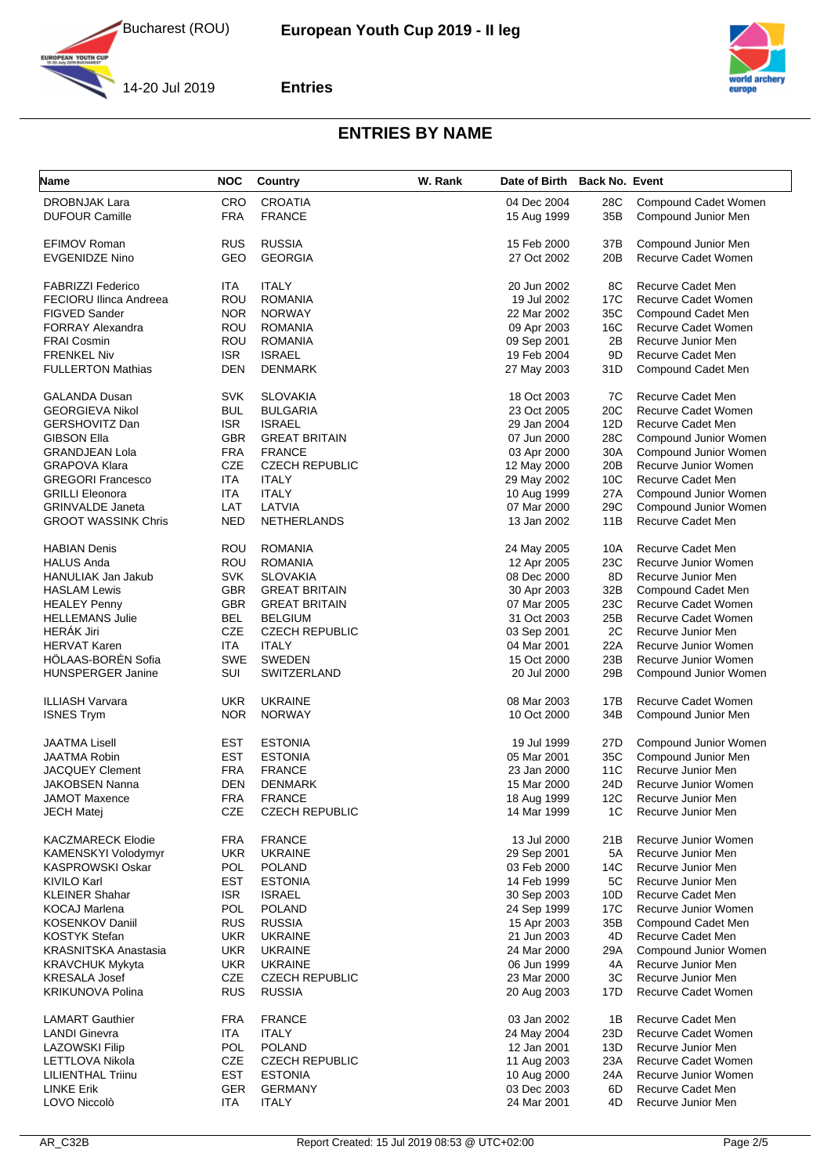



14-20 Jul 2019

**YOUTH CUP** 

#### **Entries**

| <b>Name</b>                   | <b>NOC</b> | Country               | W. Rank | Date of Birth Back No. Event |            |                          |
|-------------------------------|------------|-----------------------|---------|------------------------------|------------|--------------------------|
| <b>DROBNJAK Lara</b>          | <b>CRO</b> | <b>CROATIA</b>        |         | 04 Dec 2004                  | 28C        | Compound Cadet Women     |
| <b>DUFOUR Camille</b>         | <b>FRA</b> | <b>FRANCE</b>         |         | 15 Aug 1999                  | 35B        | Compound Junior Men      |
| EFIMOV Roman                  | <b>RUS</b> | <b>RUSSIA</b>         |         | 15 Feb 2000                  | 37B        | Compound Junior Men      |
| <b>EVGENIDZE Nino</b>         | GEO        | <b>GEORGIA</b>        |         | 27 Oct 2002                  | 20B        | Recurve Cadet Women      |
|                               |            |                       |         |                              |            |                          |
| <b>FABRIZZI Federico</b>      | ITA        | <b>ITALY</b>          |         | 20 Jun 2002                  | 8C         | <b>Recurve Cadet Men</b> |
| <b>FECIORU Ilinca Andreea</b> | ROU        | <b>ROMANIA</b>        |         | 19 Jul 2002                  | 17C        | Recurve Cadet Women      |
| <b>FIGVED Sander</b>          | <b>NOR</b> | <b>NORWAY</b>         |         | 22 Mar 2002                  | 35C        | Compound Cadet Men       |
| <b>FORRAY Alexandra</b>       | ROU        | <b>ROMANIA</b>        |         | 09 Apr 2003                  | 16C        | Recurve Cadet Women      |
| <b>FRAI Cosmin</b>            | ROU        | <b>ROMANIA</b>        |         | 09 Sep 2001                  | 2B         | Recurve Junior Men       |
| <b>FRENKEL Niv</b>            | ISR.       | <b>ISRAEL</b>         |         | 19 Feb 2004                  | 9D         | <b>Recurve Cadet Men</b> |
| <b>FULLERTON Mathias</b>      | <b>DEN</b> | <b>DENMARK</b>        |         | 27 May 2003                  | 31D        | Compound Cadet Men       |
| <b>GALANDA Dusan</b>          | <b>SVK</b> | <b>SLOVAKIA</b>       |         | 18 Oct 2003                  | 7C         | Recurve Cadet Men        |
| <b>GEORGIEVA Nikol</b>        | <b>BUL</b> | <b>BULGARIA</b>       |         | 23 Oct 2005                  | 20C        | Recurve Cadet Women      |
| <b>GERSHOVITZ Dan</b>         | <b>ISR</b> | <b>ISRAEL</b>         |         | 29 Jan 2004                  | 12D        | Recurve Cadet Men        |
| GIBSON Ella                   | <b>GBR</b> | <b>GREAT BRITAIN</b>  |         | 07 Jun 2000                  | 28C        | Compound Junior Women    |
| <b>GRANDJEAN Lola</b>         | <b>FRA</b> | <b>FRANCE</b>         |         | 03 Apr 2000                  | 30A        | Compound Junior Women    |
| <b>GRAPOVA Klara</b>          | <b>CZE</b> | <b>CZECH REPUBLIC</b> |         | 12 May 2000                  | 20B        | Recurve Junior Women     |
| <b>GREGORI Francesco</b>      | <b>ITA</b> | <b>ITALY</b>          |         | 29 May 2002                  | 10C        | <b>Recurve Cadet Men</b> |
| <b>GRILLI Eleonora</b>        | ITA        | <b>ITALY</b>          |         | 10 Aug 1999                  | 27A        | Compound Junior Women    |
| <b>GRINVALDE Janeta</b>       | LAT        | LATVIA                |         | 07 Mar 2000                  | 29C        | Compound Junior Women    |
| <b>GROOT WASSINK Chris</b>    | <b>NED</b> | <b>NETHERLANDS</b>    |         | 13 Jan 2002                  | 11B        | Recurve Cadet Men        |
|                               |            |                       |         |                              |            |                          |
| HABIAN Denis                  | ROU        | <b>ROMANIA</b>        |         | 24 May 2005                  | 10A        | Recurve Cadet Men        |
| <b>HALUS Anda</b>             | <b>ROU</b> | <b>ROMANIA</b>        |         | 12 Apr 2005                  | 23C        | Recurve Junior Women     |
| <b>HANULIAK Jan Jakub</b>     | <b>SVK</b> | <b>SLOVAKIA</b>       |         | 08 Dec 2000                  | 8D         | Recurve Junior Men       |
| <b>HASLAM Lewis</b>           | <b>GBR</b> | <b>GREAT BRITAIN</b>  |         | 30 Apr 2003                  | 32B        | Compound Cadet Men       |
| <b>HEALEY Penny</b>           | <b>GBR</b> | <b>GREAT BRITAIN</b>  |         | 07 Mar 2005                  | 23C        | Recurve Cadet Women      |
| <b>HELLEMANS Julie</b>        | <b>BEL</b> | <b>BELGIUM</b>        |         | 31 Oct 2003                  | 25B        | Recurve Cadet Women      |
| <b>HERÁK Jiri</b>             | CZE        | <b>CZECH REPUBLIC</b> |         | 03 Sep 2001                  | 2C         | Recurve Junior Men       |
| <b>HERVAT Karen</b>           | <b>ITA</b> | <b>ITALY</b>          |         | 04 Mar 2001                  | 22A        | Recurve Junior Women     |
| HÖLAAS-BORÉN Sofia            | SWE        | <b>SWEDEN</b>         |         | 15 Oct 2000                  | 23B        | Recurve Junior Women     |
| <b>HUNSPERGER Janine</b>      | SUI        | SWITZERLAND           |         | 20 Jul 2000                  | 29B        | Compound Junior Women    |
| ILLIASH Varvara               | <b>UKR</b> | <b>UKRAINE</b>        |         | 08 Mar 2003                  | 17B        | Recurve Cadet Women      |
| <b>ISNES Trym</b>             | <b>NOR</b> | <b>NORWAY</b>         |         | 10 Oct 2000                  | 34B        | Compound Junior Men      |
|                               |            |                       |         |                              |            |                          |
| JAATMA Lisell                 | EST        | <b>ESTONIA</b>        |         | 19 Jul 1999                  | 27D        | Compound Junior Women    |
| JAATMA Robin                  | EST        | <b>ESTONIA</b>        |         | 05 Mar 2001                  | 35C        | Compound Junior Men      |
| <b>JACQUEY Clement</b>        | FRA        | <b>FRANCE</b>         |         | 23 Jan 2000                  | <b>11C</b> | Recurve Junior Men       |
| JAKOBSEN Nanna                | DEN        | <b>DENMARK</b>        |         | 15 Mar 2000                  | 24D        | Recurve Junior Women     |
| JAMOT Maxence                 | FRA        | <b>FRANCE</b>         |         | 18 Aug 1999                  | 12C        | Recurve Junior Men       |
| JECH Matej                    | CZE        | <b>CZECH REPUBLIC</b> |         | 14 Mar 1999                  | 1C         | Recurve Junior Men       |
| KACZMARECK Elodie             | <b>FRA</b> | <b>FRANCE</b>         |         | 13 Jul 2000                  | 21B        | Recurve Junior Women     |
| KAMENSKYI Volodymyr           | <b>UKR</b> | <b>UKRAINE</b>        |         | 29 Sep 2001                  | 5A         | Recurve Junior Men       |
| KASPROWSKI Oskar              | <b>POL</b> | <b>POLAND</b>         |         | 03 Feb 2000                  | 14C        | Recurve Junior Men       |
| KIVILO Karl                   | <b>EST</b> | <b>ESTONIA</b>        |         | 14 Feb 1999                  | 5C         | Recurve Junior Men       |
| <b>KLEINER Shahar</b>         | <b>ISR</b> | <b>ISRAEL</b>         |         | 30 Sep 2003                  | 10D        | Recurve Cadet Men        |
| KOCAJ Marlena                 | <b>POL</b> | <b>POLAND</b>         |         | 24 Sep 1999                  | 17C        | Recurve Junior Women     |
| KOSENKOV Daniil               | <b>RUS</b> | <b>RUSSIA</b>         |         | 15 Apr 2003                  | 35B        | Compound Cadet Men       |
| KOSTYK Stefan                 | <b>UKR</b> | <b>UKRAINE</b>        |         | 21 Jun 2003                  | 4D         | Recurve Cadet Men        |
| <b>KRASNITSKA Anastasia</b>   | <b>UKR</b> | <b>UKRAINE</b>        |         | 24 Mar 2000                  | 29A        | Compound Junior Women    |
| <b>KRAVCHUK Mykyta</b>        | <b>UKR</b> | <b>UKRAINE</b>        |         | 06 Jun 1999                  | 4A         | Recurve Junior Men       |
| KRESALA Josef                 | CZE        | <b>CZECH REPUBLIC</b> |         | 23 Mar 2000                  | ЗC         | Recurve Junior Men       |
| KRIKUNOVA Polina              | <b>RUS</b> | <b>RUSSIA</b>         |         | 20 Aug 2003                  | 17D        | Recurve Cadet Women      |
| <b>LAMART Gauthier</b>        | <b>FRA</b> | <b>FRANCE</b>         |         | 03 Jan 2002                  | 1B         | Recurve Cadet Men        |
| <b>LANDI Ginevra</b>          | ITA        | <b>ITALY</b>          |         | 24 May 2004                  | 23D        | Recurve Cadet Women      |
| <b>LAZOWSKI Filip</b>         | POL        |                       |         |                              | 13D        | Recurve Junior Men       |
|                               | <b>CZE</b> | <b>POLAND</b>         |         | 12 Jan 2001                  |            |                          |
| LETTLOVA Nikola               |            | <b>CZECH REPUBLIC</b> |         | 11 Aug 2003                  | 23A        | Recurve Cadet Women      |
| LILIENTHAL Triinu             | <b>EST</b> | <b>ESTONIA</b>        |         | 10 Aug 2000                  | 24A        | Recurve Junior Women     |
| <b>LINKE Erik</b>             | <b>GER</b> | <b>GERMANY</b>        |         | 03 Dec 2003                  | 6D         | Recurve Cadet Men        |
| LOVO Niccolò                  | ITA        | <b>ITALY</b>          |         | 24 Mar 2001                  | 4D         | Recurve Junior Men       |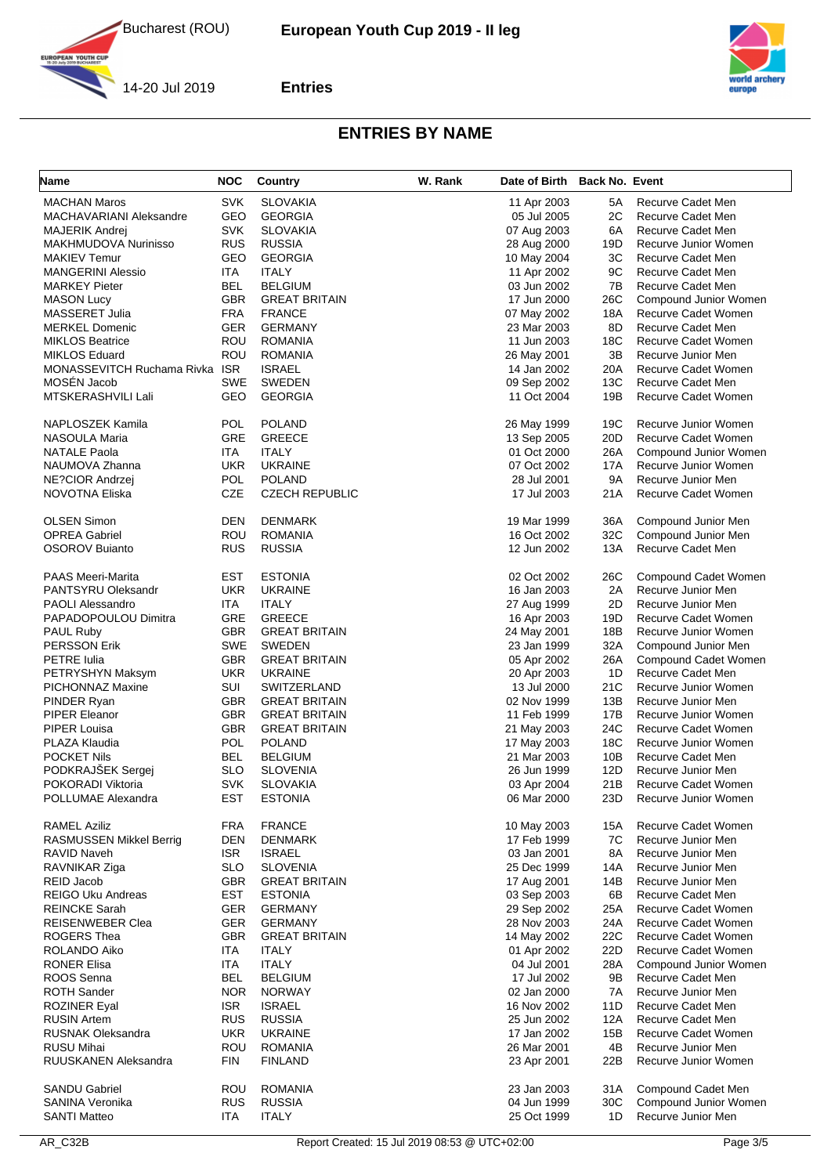





**YOUTH CUP** 

**Entries**

| Name                                            | <b>NOC</b> | Country                          | W. Rank | Date of Birth              | <b>Back No. Event</b> |                                                 |
|-------------------------------------------------|------------|----------------------------------|---------|----------------------------|-----------------------|-------------------------------------------------|
| <b>MACHAN Maros</b>                             | <b>SVK</b> | <b>SLOVAKIA</b>                  |         | 11 Apr 2003                | 5A                    | Recurve Cadet Men                               |
| MACHAVARIANI Aleksandre                         | GEO        | <b>GEORGIA</b>                   |         | 05 Jul 2005                | 2C                    | Recurve Cadet Men                               |
| <b>MAJERIK Andrej</b>                           | <b>SVK</b> | <b>SLOVAKIA</b>                  |         | 07 Aug 2003                | 6A                    | Recurve Cadet Men                               |
| MAKHMUDOVA Nurinisso                            | <b>RUS</b> | <b>RUSSIA</b>                    |         | 28 Aug 2000                | 19D                   | Recurve Junior Women                            |
| <b>MAKIEV Temur</b>                             | GEO        | <b>GEORGIA</b>                   |         | 10 May 2004                | ЗC                    | Recurve Cadet Men                               |
| <b>MANGERINI Alessio</b>                        | <b>ITA</b> | <b>ITALY</b>                     |         | 11 Apr 2002                | 9C                    | Recurve Cadet Men                               |
| <b>MARKEY Pieter</b>                            | BEL        | <b>BELGIUM</b>                   |         | 03 Jun 2002                | 7B                    | Recurve Cadet Men                               |
| <b>MASON Lucy</b>                               | <b>GBR</b> | <b>GREAT BRITAIN</b>             |         | 17 Jun 2000                | 26C                   | Compound Junior Women                           |
| MASSERET Julia                                  | FRA        | <b>FRANCE</b>                    |         | 07 May 2002                | 18A                   | Recurve Cadet Women                             |
| <b>MERKEL Domenic</b><br><b>MIKLOS Beatrice</b> | <b>GER</b> | <b>GERMANY</b>                   |         | 23 Mar 2003                | 8D<br>18C             | Recurve Cadet Men<br><b>Recurve Cadet Women</b> |
| <b>MIKLOS Eduard</b>                            | ROU<br>ROU | <b>ROMANIA</b><br><b>ROMANIA</b> |         | 11 Jun 2003                | 3B                    | Recurve Junior Men                              |
| MONASSEVITCH Ruchama Rivka ISR                  |            | <b>ISRAEL</b>                    |         | 26 May 2001<br>14 Jan 2002 | 20A                   | Recurve Cadet Women                             |
| MOSEN Jacob                                     | <b>SWE</b> | <b>SWEDEN</b>                    |         | 09 Sep 2002                | 13C                   | Recurve Cadet Men                               |
| MTSKERASHVILI Lali                              | GEO        | <b>GEORGIA</b>                   |         | 11 Oct 2004                | 19B                   | Recurve Cadet Women                             |
|                                                 |            |                                  |         |                            |                       |                                                 |
| NAPLOSZEK Kamila                                | POL        | <b>POLAND</b>                    |         | 26 May 1999                | 19C                   | Recurve Junior Women                            |
| NASOULA Maria                                   | GRE        | <b>GREECE</b>                    |         | 13 Sep 2005                | 20 <sub>D</sub>       | Recurve Cadet Women                             |
| <b>NATALE Paola</b>                             | ITA        | <b>ITALY</b>                     |         | 01 Oct 2000                | 26A                   | Compound Junior Women                           |
| NAUMOVA Zhanna                                  | <b>UKR</b> | <b>UKRAINE</b>                   |         | 07 Oct 2002                | 17A                   | Recurve Junior Women                            |
| NE?CIOR Andrzej                                 | POL        | <b>POLAND</b>                    |         | 28 Jul 2001                | <b>9A</b>             | Recurve Junior Men                              |
| <b>NOVOTNA Eliska</b>                           | CZE        | <b>CZECH REPUBLIC</b>            |         | 17 Jul 2003                | 21A                   | Recurve Cadet Women                             |
| <b>OLSEN Simon</b>                              | DEN        | <b>DENMARK</b>                   |         | 19 Mar 1999                | 36A                   | Compound Junior Men                             |
| <b>OPREA Gabriel</b>                            | ROU        | <b>ROMANIA</b>                   |         | 16 Oct 2002                | 32C                   | Compound Junior Men                             |
| <b>OSOROV Buianto</b>                           | <b>RUS</b> | <b>RUSSIA</b>                    |         | 12 Jun 2002                | 13A                   | Recurve Cadet Men                               |
| <b>PAAS Meeri-Marita</b>                        | EST        | <b>ESTONIA</b>                   |         | 02 Oct 2002                | 26C                   | Compound Cadet Women                            |
| PANTSYRU Oleksandr                              | UKR        | <b>UKRAINE</b>                   |         | 16 Jan 2003                | 2A                    | Recurve Junior Men                              |
| <b>PAOLI Alessandro</b>                         | ITA        | <b>ITALY</b>                     |         | 27 Aug 1999                | 2D                    | Recurve Junior Men                              |
| PAPADOPOULOU Dimitra                            | GRE        | <b>GREECE</b>                    |         | 16 Apr 2003                | 19D                   | Recurve Cadet Women                             |
| <b>PAUL Ruby</b>                                | GBR        | <b>GREAT BRITAIN</b>             |         | 24 May 2001                | 18B                   | Recurve Junior Women                            |
| <b>PERSSON Erik</b>                             | SWE        | <b>SWEDEN</b>                    |         | 23 Jan 1999                | 32A                   | Compound Junior Men                             |
| <b>PETRE</b> Iulia                              | <b>GBR</b> | <b>GREAT BRITAIN</b>             |         | 05 Apr 2002                | 26A                   | Compound Cadet Women                            |
| PETRYSHYN Maksym                                | UKR        | <b>UKRAINE</b>                   |         | 20 Apr 2003                | 1D                    | Recurve Cadet Men                               |
| PICHONNAZ Maxine                                | SUI        | <b>SWITZERLAND</b>               |         | 13 Jul 2000                | 21C                   | Recurve Junior Women                            |
| PINDER Ryan                                     | GBR        | <b>GREAT BRITAIN</b>             |         | 02 Nov 1999                | 13B                   | Recurve Junior Men                              |
| <b>PIPER Eleanor</b>                            | GBR        | <b>GREAT BRITAIN</b>             |         | 11 Feb 1999                | 17B                   | Recurve Junior Women                            |
| PIPER Louisa                                    | <b>GBR</b> | <b>GREAT BRITAIN</b>             |         | 21 May 2003                | 24C                   | Recurve Cadet Women                             |
| PLAZA Klaudia                                   | POL        | <b>POLAND</b>                    |         | 17 May 2003                | 18C                   | Recurve Junior Women                            |
| <b>POCKET Nils</b>                              | BEL        | <b>BELGIUM</b>                   |         | 21 Mar 2003                | 10B                   | Recurve Cadet Men                               |
| PODKRAJŠEK Sergej                               | SLO        | <b>SLOVENIA</b>                  |         | 26 Jun 1999                | 12D                   | Recurve Junior Men                              |
| POKORADI Viktoria                               | <b>SVK</b> | <b>SLOVAKIA</b>                  |         | 03 Apr 2004                | 21B                   | Recurve Cadet Women                             |
| POLLUMAE Alexandra                              | EST        | <b>ESTONIA</b>                   |         | 06 Mar 2000                | 23D                   | Recurve Junior Women                            |
| <b>RAMEL Aziliz</b>                             | <b>FRA</b> | <b>FRANCE</b>                    |         | 10 May 2003                | 15A                   | Recurve Cadet Women                             |
| <b>RASMUSSEN Mikkel Berrig</b>                  | <b>DEN</b> | <b>DENMARK</b>                   |         | 17 Feb 1999                | 7C                    | Recurve Junior Men                              |
| <b>RAVID Naveh</b>                              | <b>ISR</b> | <b>ISRAEL</b>                    |         | 03 Jan 2001                | 8A                    | Recurve Junior Men                              |
| RAVNIKAR Ziga                                   | <b>SLO</b> | <b>SLOVENIA</b>                  |         | 25 Dec 1999                | 14A                   | Recurve Junior Men                              |
| REID Jacob                                      | <b>GBR</b> | <b>GREAT BRITAIN</b>             |         | 17 Aug 2001                | 14B                   | Recurve Junior Men                              |
| <b>REIGO Uku Andreas</b>                        | EST        | <b>ESTONIA</b>                   |         | 03 Sep 2003                | 6B                    | Recurve Cadet Men                               |
| <b>REINCKE Sarah</b>                            | GER        | <b>GERMANY</b>                   |         | 29 Sep 2002                | 25A                   | Recurve Cadet Women                             |
| <b>REISENWEBER Clea</b>                         | GER        | <b>GERMANY</b>                   |         | 28 Nov 2003                | 24A                   | Recurve Cadet Women                             |
| ROGERS Thea                                     | GBR        | <b>GREAT BRITAIN</b>             |         | 14 May 2002                | 22C                   | Recurve Cadet Women                             |
| ROLANDO Aiko                                    | ITA        | <b>ITALY</b>                     |         | 01 Apr 2002                | 22D                   | Recurve Cadet Women                             |
| <b>RONER Elisa</b>                              | ITA        | <b>ITALY</b>                     |         | 04 Jul 2001                | 28A                   | Compound Junior Women                           |
| ROOS Senna                                      | <b>BEL</b> | <b>BELGIUM</b>                   |         | 17 Jul 2002                | 9Β                    | Recurve Cadet Men                               |
| <b>ROTH Sander</b>                              | <b>NOR</b> | <b>NORWAY</b>                    |         | 02 Jan 2000                | 7A                    | Recurve Junior Men                              |
| <b>ROZINER Eyal</b>                             | <b>ISR</b> | <b>ISRAEL</b>                    |         | 16 Nov 2002                | 11D                   | Recurve Cadet Men                               |
| <b>RUSIN Artem</b>                              | <b>RUS</b> | <b>RUSSIA</b>                    |         | 25 Jun 2002                | 12A                   | Recurve Cadet Men                               |
| <b>RUSNAK Oleksandra</b>                        | <b>UKR</b> | <b>UKRAINE</b>                   |         | 17 Jan 2002                | 15B                   | Recurve Cadet Women                             |
| <b>RUSU Mihai</b>                               | ROU        | <b>ROMANIA</b>                   |         | 26 Mar 2001                | 4B                    | Recurve Junior Men                              |
| RUUSKANEN Aleksandra                            | <b>FIN</b> | <b>FINLAND</b>                   |         | 23 Apr 2001                | 22B                   | Recurve Junior Women                            |
| <b>SANDU Gabriel</b>                            | ROU        | <b>ROMANIA</b>                   |         | 23 Jan 2003                | 31A                   | Compound Cadet Men                              |
| SANINA Veronika                                 | <b>RUS</b> | <b>RUSSIA</b>                    |         | 04 Jun 1999                | 30C                   | Compound Junior Women                           |
| <b>SANTI Matteo</b>                             | ITA        | <b>ITALY</b>                     |         | 25 Oct 1999                | 1D                    | Recurve Junior Men                              |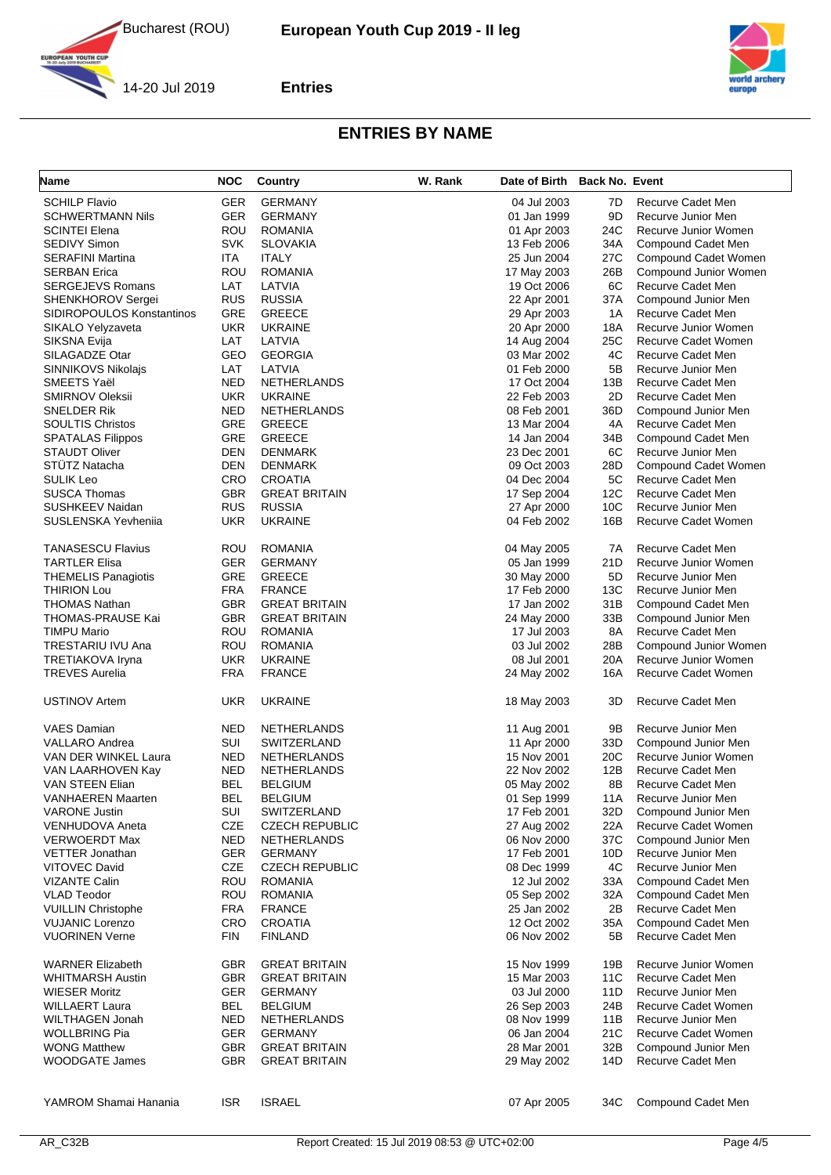





**YOUTH CUP** 

**Entries**

| <b>Name</b>                            | <b>NOC</b>               | <b>Country</b>                      | W. Rank | Date of Birth Back No. Event |           |                                          |
|----------------------------------------|--------------------------|-------------------------------------|---------|------------------------------|-----------|------------------------------------------|
| <b>SCHILP Flavio</b>                   | <b>GER</b>               | <b>GERMANY</b>                      |         | 04 Jul 2003                  | 7D        | Recurve Cadet Men                        |
| <b>SCHWERTMANN Nils</b>                | <b>GER</b>               | <b>GERMANY</b>                      |         | 01 Jan 1999                  | 9D        | Recurve Junior Men                       |
| <b>SCINTEI Elena</b>                   | ROU                      | <b>ROMANIA</b>                      |         | 01 Apr 2003                  | 24C       | Recurve Junior Women                     |
| <b>SEDIVY Simon</b>                    | <b>SVK</b>               | <b>SLOVAKIA</b>                     |         | 13 Feb 2006                  | 34A       | Compound Cadet Men                       |
| <b>SERAFINI Martina</b>                | ITA                      | <b>ITALY</b>                        |         | 25 Jun 2004                  | 27C       | Compound Cadet Women                     |
| <b>SERBAN Erica</b>                    | ROU                      | <b>ROMANIA</b>                      |         | 17 May 2003                  | 26B       | Compound Junior Women                    |
| <b>SERGEJEVS Romans</b>                | LAT                      | LATVIA                              |         | 19 Oct 2006                  | 6C        | Recurve Cadet Men                        |
| <b>SHENKHOROV Sergei</b>               | <b>RUS</b>               | <b>RUSSIA</b>                       |         | 22 Apr 2001                  | 37A       | Compound Junior Men                      |
| SIDIROPOULOS Konstantinos              | <b>GRE</b>               | <b>GREECE</b>                       |         | 29 Apr 2003                  | 1A        | Recurve Cadet Men                        |
| SIKALO Yelyzaveta                      | <b>UKR</b>               | <b>UKRAINE</b>                      |         | 20 Apr 2000                  | 18A       | Recurve Junior Women                     |
| SIKSNA Evija                           | LAT                      | LATVIA                              |         | 14 Aug 2004                  | 25C       | Recurve Cadet Women                      |
| SILAGADZE Otar                         | GEO                      | <b>GEORGIA</b>                      |         | 03 Mar 2002                  | 4C        | Recurve Cadet Men                        |
| <b>SINNIKOVS Nikolajs</b>              | LAT                      | LATVIA                              |         | 01 Feb 2000                  | 5B        | Recurve Junior Men                       |
| SMEETS Yaël                            | <b>NED</b>               | <b>NETHERLANDS</b>                  |         | 17 Oct 2004                  | 13B       | Recurve Cadet Men                        |
| <b>SMIRNOV Oleksii</b>                 | <b>UKR</b>               | <b>UKRAINE</b>                      |         | 22 Feb 2003                  | 2D        | Recurve Cadet Men                        |
| SNELDER Rik<br><b>SOULTIS Christos</b> | <b>NED</b><br><b>GRE</b> | <b>NETHERLANDS</b><br><b>GREECE</b> |         | 08 Feb 2001                  | 36D<br>4A | Compound Junior Men<br>Recurve Cadet Men |
| <b>SPATALAS Filippos</b>               | GRE                      | <b>GREECE</b>                       |         | 13 Mar 2004<br>14 Jan 2004   | 34B       | Compound Cadet Men                       |
| <b>STAUDT Oliver</b>                   | DEN                      | <b>DENMARK</b>                      |         | 23 Dec 2001                  | 6C        | Recurve Junior Men                       |
| STÜTZ Natacha                          | DEN                      | <b>DENMARK</b>                      |         | 09 Oct 2003                  | 28D       | Compound Cadet Women                     |
| <b>SULIK Leo</b>                       | CRO                      | <b>CROATIA</b>                      |         | 04 Dec 2004                  | 5C        | Recurve Cadet Men                        |
| <b>SUSCA Thomas</b>                    | <b>GBR</b>               | <b>GREAT BRITAIN</b>                |         | 17 Sep 2004                  | 12C       | Recurve Cadet Men                        |
| <b>SUSHKEEV Naidan</b>                 | <b>RUS</b>               | <b>RUSSIA</b>                       |         | 27 Apr 2000                  | 10C       | Recurve Junior Men                       |
| SUSLENSKA Yevhenija                    | <b>UKR</b>               | <b>UKRAINE</b>                      |         | 04 Feb 2002                  | 16B       | Recurve Cadet Women                      |
|                                        |                          |                                     |         |                              |           |                                          |
| <b>TANASESCU Flavius</b>               | ROU                      | <b>ROMANIA</b>                      |         | 04 May 2005                  | 7A        | Recurve Cadet Men                        |
| <b>TARTLER Elisa</b>                   | <b>GER</b>               | <b>GERMANY</b>                      |         | 05 Jan 1999                  | 21D       | Recurve Junior Women                     |
| <b>THEMELIS Panagiotis</b>             | GRE                      | <b>GREECE</b>                       |         | 30 May 2000                  | 5D        | Recurve Junior Men                       |
| <b>THIRION Lou</b>                     | <b>FRA</b>               | <b>FRANCE</b>                       |         | 17 Feb 2000                  | 13C       | Recurve Junior Men                       |
| THOMAS Nathan                          | GBR                      | <b>GREAT BRITAIN</b>                |         | 17 Jan 2002                  | 31B       | Compound Cadet Men                       |
| THOMAS-PRAUSE Kai                      | GBR                      | <b>GREAT BRITAIN</b>                |         | 24 May 2000                  | 33B       | Compound Junior Men                      |
| <b>TIMPU Mario</b>                     | ROU                      | <b>ROMANIA</b>                      |         | 17 Jul 2003                  | 8A        | Recurve Cadet Men                        |
| TRESTARIU IVU Ana                      | <b>ROU</b>               | <b>ROMANIA</b>                      |         | 03 Jul 2002                  | 28B       | Compound Junior Women                    |
| TRETIAKOVA Iryna                       | <b>UKR</b>               | <b>UKRAINE</b>                      |         | 08 Jul 2001                  | 20A       | Recurve Junior Women                     |
| <b>TREVES Aurelia</b>                  | <b>FRA</b>               | <b>FRANCE</b>                       |         | 24 May 2002                  | 16A       | Recurve Cadet Women                      |
| <b>USTINOV Artem</b>                   | <b>UKR</b>               | <b>UKRAINE</b>                      |         | 18 May 2003                  | 3D        | Recurve Cadet Men                        |
| VAES Damian                            | <b>NED</b>               | <b>NETHERLANDS</b>                  |         | 11 Aug 2001                  | 9Β        | Recurve Junior Men                       |
| VALLARO Andrea                         | SUI                      | SWITZERLAND                         |         | 11 Apr 2000                  | 33D       | Compound Junior Men                      |
| VAN DER WINKEL Laura                   | <b>NED</b>               | <b>NETHERLANDS</b>                  |         | 15 Nov 2001                  | 20C       | Recurve Junior Women                     |
| VAN LAARHOVEN Kay                      | <b>NED</b>               | <b>NETHERLANDS</b>                  |         | 22 Nov 2002                  | 12B       | Recurve Cadet Men                        |
| <b>VAN STEEN Elian</b>                 | <b>BEL</b>               | <b>BELGIUM</b>                      |         | 05 May 2002                  | 8B        | Recurve Cadet Men                        |
| VANHAEREN Maarten                      | BEL                      | <b>BELGIUM</b>                      |         | 01 Sep 1999                  | 11A       | Recurve Junior Men                       |
| <b>VARONE Justin</b>                   | SUI                      | <b>SWITZERLAND</b>                  |         | 17 Feb 2001                  | 32D       | Compound Junior Men                      |
| <b>VENHUDOVA Aneta</b>                 | <b>CZE</b>               | <b>CZECH REPUBLIC</b>               |         | 27 Aug 2002                  | 22A       | Recurve Cadet Women                      |
| VERWOERDT Max                          | <b>NED</b>               | <b>NETHERLANDS</b>                  |         | 06 Nov 2000                  | 37C       | Compound Junior Men                      |
| <b>VETTER Jonathan</b>                 | GER                      | <b>GERMANY</b>                      |         | 17 Feb 2001                  | 10D       | Recurve Junior Men                       |
| <b>VITOVEC David</b>                   | <b>CZE</b>               | <b>CZECH REPUBLIC</b>               |         | 08 Dec 1999                  | 4C        | Recurve Junior Men                       |
| VIZANTE Calin                          | <b>ROU</b>               | <b>ROMANIA</b>                      |         | 12 Jul 2002                  | 33A       | Compound Cadet Men                       |
| <b>VLAD Teodor</b>                     | ROU                      | <b>ROMANIA</b>                      |         | 05 Sep 2002                  | 32A       | Compound Cadet Men                       |
| <b>VUILLIN Christophe</b>              | <b>FRA</b>               | <b>FRANCE</b>                       |         | 25 Jan 2002                  | 2Β        | Recurve Cadet Men                        |
| <b>VUJANIC Lorenzo</b>                 | CRO                      | <b>CROATIA</b>                      |         | 12 Oct 2002                  | 35A       | Compound Cadet Men                       |
| <b>VUORINEN Verne</b>                  | <b>FIN</b>               | <b>FINLAND</b>                      |         | 06 Nov 2002                  | 5Β        | Recurve Cadet Men                        |
| <b>WARNER Elizabeth</b>                | <b>GBR</b>               | <b>GREAT BRITAIN</b>                |         | 15 Nov 1999                  | 19B       | Recurve Junior Women                     |
| WHITMARSH Austin                       | <b>GBR</b>               | <b>GREAT BRITAIN</b>                |         | 15 Mar 2003                  | 11C       | Recurve Cadet Men                        |
| <b>WIESER Moritz</b>                   | <b>GER</b>               | <b>GERMANY</b>                      |         | 03 Jul 2000                  | 11D       | Recurve Junior Men                       |
| <b>WILLAERT Laura</b>                  | <b>BEL</b>               | <b>BELGIUM</b>                      |         | 26 Sep 2003                  | 24B       | Recurve Cadet Women                      |
| WILTHAGEN Jonah                        | NED.                     | <b>NETHERLANDS</b>                  |         | 08 Nov 1999                  | 11B       | Recurve Junior Men                       |
| <b>WOLLBRING Pia</b>                   | <b>GER</b>               | <b>GERMANY</b>                      |         | 06 Jan 2004                  | 21C       | Recurve Cadet Women                      |
| <b>WONG Matthew</b>                    | GBR                      | <b>GREAT BRITAIN</b>                |         | 28 Mar 2001                  | 32B       | Compound Junior Men                      |
| WOODGATE James                         | GBR.                     | <b>GREAT BRITAIN</b>                |         | 29 May 2002                  | 14D       | Recurve Cadet Men                        |
|                                        |                          |                                     |         |                              |           |                                          |
| YAMROM Shamai Hanania                  | <b>ISR</b>               | <b>ISRAEL</b>                       |         | 07 Apr 2005                  | 34C       | Compound Cadet Men                       |